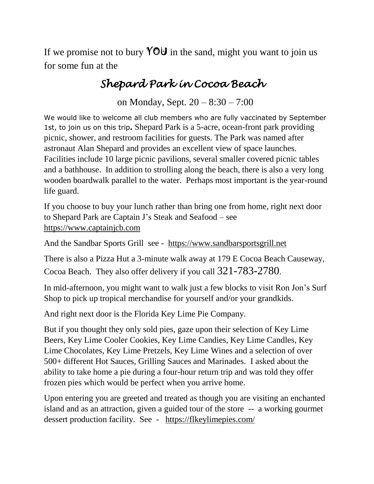If we promise not to bury  $\mathbf{Y} \odot \mathbf{U}$  in the sand, might you want to join us for some fun at the

## *Shepard Park in Cocoa Beach*

on Monday, Sept. 20 – 8:30 – 7:00

We would like to welcome all club members who are fully vaccinated by September 1st, to join us on this trip**.** Shepard Park is a 5-acre, ocean-front park providing picnic, shower, and restroom facilities for guests. The Park was named after astronaut Alan Shepard and provides an excellent view of space launches. Facilities include 10 large picnic pavilions, several smaller covered picnic tables and a bathhouse. In addition to strolling along the beach, there is also a very long wooden boardwalk parallel to the water. Perhaps most important is the year-round life guard.

If you choose to buy your lunch rather than bring one from home, right next door to Shepard Park are Captain J's Steak and Seafood – see [https://www.captainjcb.com](https://www.captainjcb.com/)

And the Sandbar Sports Grill see - [https://www.sandbarsportsgrill.net](https://www.sandbarsportsgrill.net/)

There is also a Pizza Hut a 3-minute walk away at 179 E Cocoa Beach Causeway, Cocoa Beach. They also offer delivery if you call 321-783-2780.

In mid-afternoon, you might want to walk just a few blocks to visit Ron Jon's Surf Shop to pick up tropical merchandise for yourself and/or your grandkids.

And right next door is the Florida Key Lime Pie Company.

But if you thought they only sold pies, gaze upon their selection of Key Lime Beers, Key Lime Cooler Cookies, Key Lime Candies, Key Lime Candles, Key Lime Chocolates, Key Lime Pretzels, Key Lime Wines and a selection of over 500+ different Hot Sauces, Grilling Sauces and Marinades. I asked about the ability to take home a pie during a four-hour return trip and was told they offer frozen pies which would be perfect when you arrive home.

Upon entering you are greeted and treated as though you are visiting an enchanted island and as an attraction, given a guided tour of the store -- a working gourmet dessert production facility. See - <https://flkeylimepies.com/>